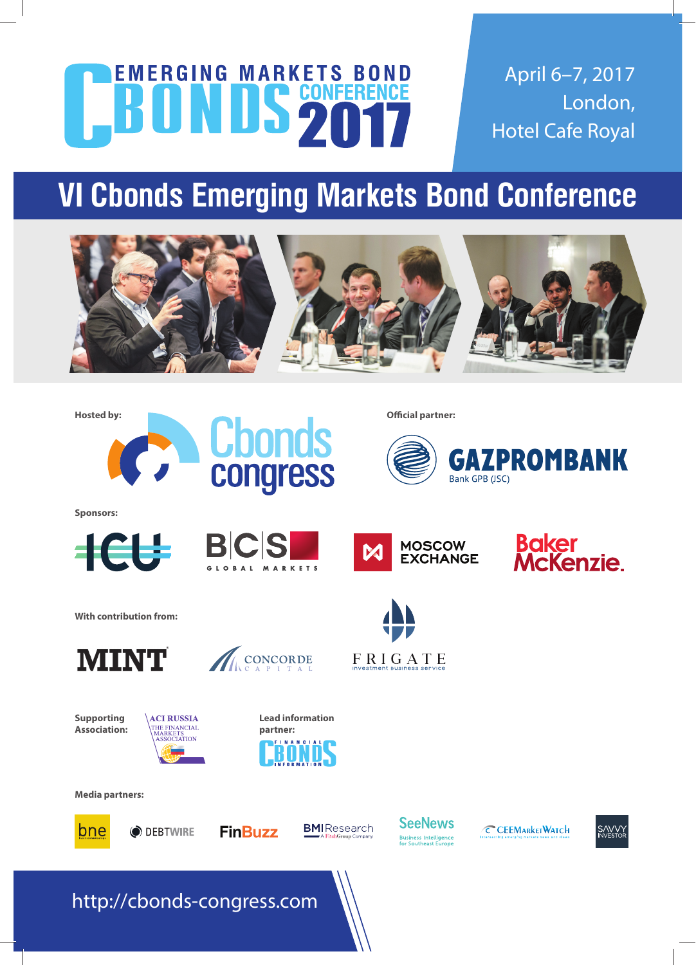## **EMERGING MARKETS BOND** S PONFERENCE

April 6–7, 2017 London, Hotel Cafe Royal

### **VI Cbonds Emerging Markets Bond Conference**



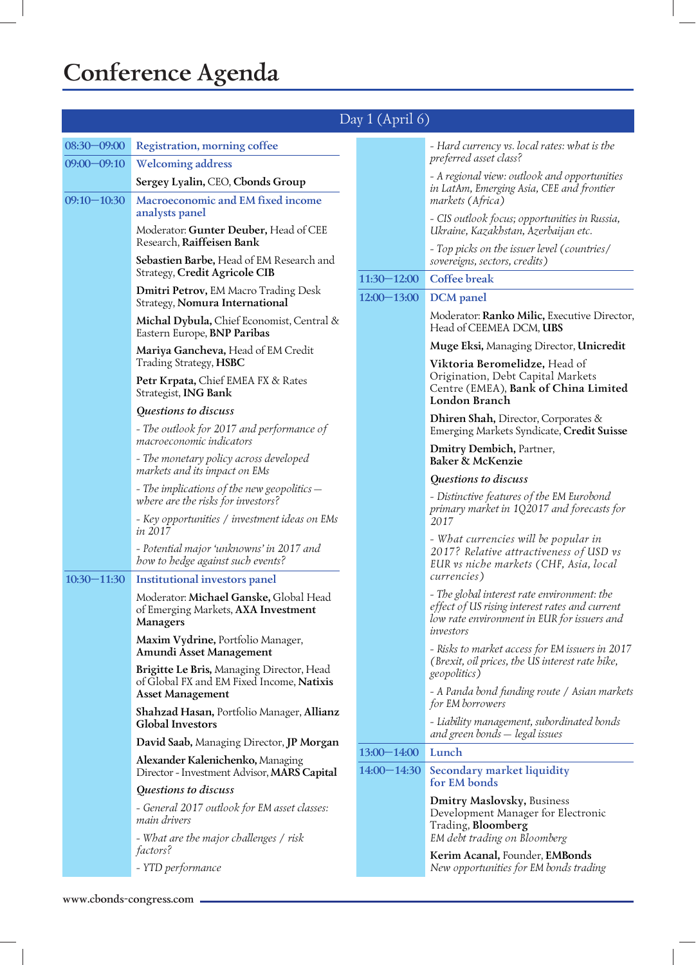#### **Conference Agenda**

| Day 1 (April 6) |                                                                                                                                                                                         |                 |                                                                                                                                                           |  |
|-----------------|-----------------------------------------------------------------------------------------------------------------------------------------------------------------------------------------|-----------------|-----------------------------------------------------------------------------------------------------------------------------------------------------------|--|
| $08:30 - 09:00$ | Registration, morning coffee                                                                                                                                                            |                 | - Hard currency vs. local rates: what is the                                                                                                              |  |
| $09:00 - 09:10$ | <b>Welcoming address</b>                                                                                                                                                                |                 | preferred asset class?                                                                                                                                    |  |
|                 | Sergey Lyalin, CEO, Cbonds Group                                                                                                                                                        |                 | - A regional view: outlook and opportunities<br>in LatAm, Emerging Asia, CEE and frontier                                                                 |  |
| $09:10 - 10:30$ | Macroeconomic and EM fixed income<br>analysts panel                                                                                                                                     |                 | markets (Africa)                                                                                                                                          |  |
|                 | Moderator: Gunter Deuber, Head of CEE                                                                                                                                                   |                 | - CIS outlook focus; opportunities in Russia,<br>Ukraine, Kazakhstan, Azerbaijan etc.                                                                     |  |
|                 | Research, Raiffeisen Bank<br>Sebastien Barbe, Head of EM Research and<br>Strategy, Credit Agricole CIB<br><b>Dmitri Petrov, EM Macro Trading Desk</b><br>Strategy, Nomura International |                 | - Top picks on the issuer level (countries/<br>sovereigns, sectors, credits)                                                                              |  |
|                 |                                                                                                                                                                                         | $11:30 - 12:00$ | Coffee break                                                                                                                                              |  |
|                 |                                                                                                                                                                                         | $12:00 - 13:00$ | <b>DCM</b> panel                                                                                                                                          |  |
|                 | Michal Dybula, Chief Economist, Central &<br>Eastern Europe, BNP Paribas                                                                                                                |                 | Moderator: Ranko Milic, Executive Director,<br>Head of CEEMEA DCM, UBS                                                                                    |  |
|                 | Mariya Gancheva, Head of EM Credit                                                                                                                                                      |                 | Muge Eksi, Managing Director, Unicredit                                                                                                                   |  |
|                 | Trading Strategy, HSBC<br>Petr Krpata, Chief EMEA FX & Rates<br>Strategist, ING Bank                                                                                                    |                 | Viktoria Beromelidze, Head of<br>Origination, Debt Capital Markets<br>Centre (EMEA), Bank of China Limited                                                |  |
|                 | Questions to discuss                                                                                                                                                                    |                 | London Branch                                                                                                                                             |  |
|                 | - The outlook for 2017 and performance of<br>macroeconomic indicators                                                                                                                   |                 | Dhiren Shah, Director, Corporates &<br>Emerging Markets Syndicate, Credit Suisse                                                                          |  |
|                 | - The monetary policy across developed<br>markets and its impact on EMs                                                                                                                 |                 | Dmitry Dembich, Partner,<br>Baker & McKenzie                                                                                                              |  |
|                 | - The implications of the new geopolitics $-$                                                                                                                                           |                 | Questions to discuss                                                                                                                                      |  |
|                 | where are the risks for investors?<br>- Key opportunities / investment ideas on EMs                                                                                                     |                 | - Distinctive features of the EM Eurobond<br>primary market in 1Q2017 and forecasts for<br>2017                                                           |  |
|                 | in 2017                                                                                                                                                                                 |                 |                                                                                                                                                           |  |
|                 | - Potential major 'unknowns' in 2017 and<br>how to hedge against such events?                                                                                                           |                 | - What currencies will be popular in<br>2017? Relative attractiveness of USD vs<br>EUR vs niche markets (CHF, Asia, local                                 |  |
| $10:30 - 11:30$ | Institutional investors panel                                                                                                                                                           |                 | currencies)                                                                                                                                               |  |
|                 | Moderator: Michael Ganske, Global Head<br>of Emerging Markets, AXA Investment<br><b>Managers</b>                                                                                        |                 | - The global interest rate environment: the<br>effect of US rising interest rates and current<br>low rate environment in EUR for issuers and<br>investors |  |
|                 | Maxim Vydrine, Portfolio Manager,<br>Amundi Asset Management                                                                                                                            |                 | - Risks to market access for EM issuers in 2017<br>(Brexit, oil prices, the US interest rate hike,                                                        |  |
|                 | Brigitte Le Bris, Managing Director, Head<br>of Global FX and EM Fixed Income, Natixis                                                                                                  |                 | geopolitics)                                                                                                                                              |  |
|                 | <b>Asset Management</b>                                                                                                                                                                 |                 | - A Panda bond funding route / Asian markets<br>for EM borrowers                                                                                          |  |
|                 | Shahzad Hasan, Portfolio Manager, Allianz<br>Global Investors                                                                                                                           |                 | - Liability management, subordinated bonds<br>and green bonds - legal issues                                                                              |  |
|                 | David Saab, Managing Director, JP Morgan                                                                                                                                                | $13:00 - 14:00$ | Lunch                                                                                                                                                     |  |
|                 | Alexander Kalenichenko, Managing<br>Director - Investment Advisor, MARS Capital                                                                                                         | $14:00 - 14:30$ | Secondary market liquidity<br>for EM bonds                                                                                                                |  |
|                 | Questions to discuss                                                                                                                                                                    |                 | <b>Dmitry Maslovsky, Business</b>                                                                                                                         |  |
|                 | - General 2017 outlook for EM asset classes:<br>main drivers                                                                                                                            |                 | Development Manager for Electronic<br>Trading, Bloomberg                                                                                                  |  |
|                 | - What are the major challenges / risk<br>factors?                                                                                                                                      |                 | EM debt trading on Bloomberg                                                                                                                              |  |
|                 | - YTD performance                                                                                                                                                                       |                 | Kerim Acanal, Founder, EMBonds<br>New opportunities for EM bonds trading                                                                                  |  |

 $\bigg|$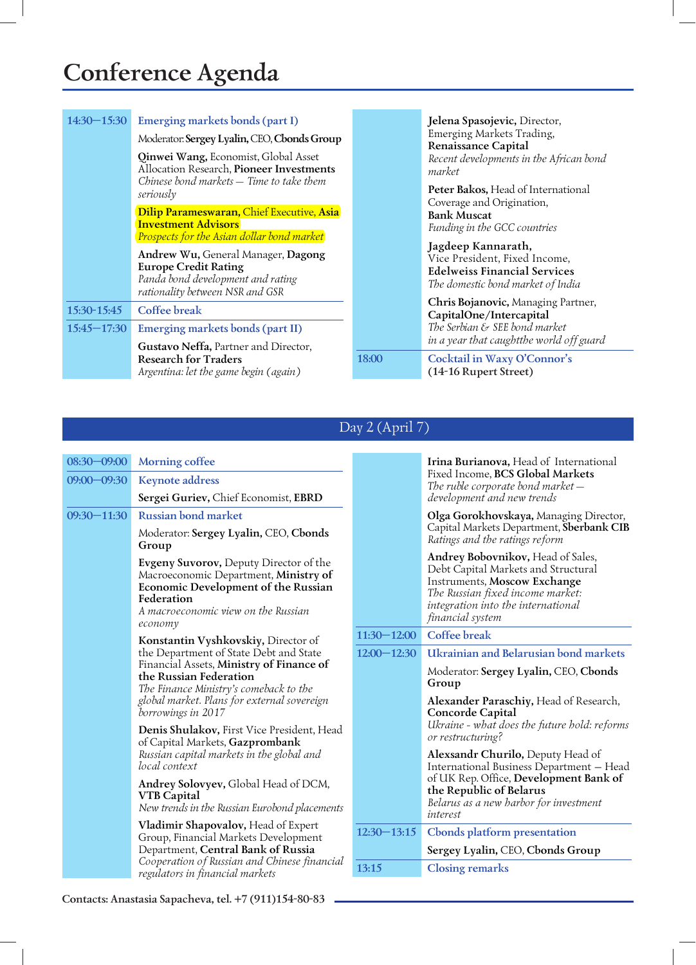#### **Conference Agenda**

| $14:30 - 15:30$ | Emerging markets bonds (part I)<br>Moderator: Sergey Lyalin, CEO, Cbonds Group<br>Qinwei Wang, Economist, Global Asset<br>Allocation Research, Pioneer Investments<br>Chinese bond markets - Time to take them<br>seriously<br>Dilip Parameswaran, Chief Executive, Asia<br><b>Investment Advisors</b><br>Prospects for the Asian dollar bond market<br>Andrew Wu, General Manager, Dagong<br><b>Europe Credit Rating</b> |       | Jelena Spasojevic, Director,<br>Emerging Markets Trading,<br>Renaissance Capital<br>Recent developments in the African bond<br>market<br>Peter Bakos, Head of International<br>Coverage and Origination,<br><b>Bank Muscat</b><br>Funding in the GCC countries<br>Jagdeep Kannarath,<br>Vice President, Fixed Income, |  |
|-----------------|---------------------------------------------------------------------------------------------------------------------------------------------------------------------------------------------------------------------------------------------------------------------------------------------------------------------------------------------------------------------------------------------------------------------------|-------|-----------------------------------------------------------------------------------------------------------------------------------------------------------------------------------------------------------------------------------------------------------------------------------------------------------------------|--|
|                 | Panda bond development and rating<br>rationality between NSR and GSR                                                                                                                                                                                                                                                                                                                                                      |       | <b>Edelweiss Financial Services</b><br>The domestic bond market of India                                                                                                                                                                                                                                              |  |
| 15:30-15:45     | <b>Coffee break</b>                                                                                                                                                                                                                                                                                                                                                                                                       |       | Chris Bojanovic, Managing Partner,<br>CapitalOne/Intercapital                                                                                                                                                                                                                                                         |  |
| $15:45 - 17:30$ | Emerging markets bonds (part II)<br>Gustavo Neffa, Partner and Director,                                                                                                                                                                                                                                                                                                                                                  |       | The Serbian & SEE bond market<br>in a year that caughtthe world off guard                                                                                                                                                                                                                                             |  |
|                 | <b>Research for Traders</b><br>Argentina: let the game begin (again)                                                                                                                                                                                                                                                                                                                                                      | 18:00 | Cocktail in Waxy O'Connor's<br>(14-16 Rupert Street)                                                                                                                                                                                                                                                                  |  |

#### Day 2 (April 7)

| $08:30 - 09:00$ | Morning coffee                                                                                                                                                                                                                                                     |          |
|-----------------|--------------------------------------------------------------------------------------------------------------------------------------------------------------------------------------------------------------------------------------------------------------------|----------|
| 09:00-09:30     | <b>Keynote address</b>                                                                                                                                                                                                                                             |          |
|                 | Sergei Guriev, Chief Economist, EBRD                                                                                                                                                                                                                               |          |
| $09:30 - 11:30$ | Russian bond market                                                                                                                                                                                                                                                |          |
|                 | Moderator: Sergey Lyalin, CEO, Cbonds<br>Group                                                                                                                                                                                                                     |          |
|                 | <b>Evgeny Suvorov, Deputy Director of the</b><br>Macroeconomic Department, Ministry of<br>Economic Development of the Russian<br>Federation<br>A macroeconomic view on the Russian<br>economy                                                                      |          |
|                 | Konstantin Vyshkovskiy, Director of<br>the Department of State Debt and State<br>Financial Assets, Ministry of Finance of<br>the Russian Federation<br>The Finance Ministry's comeback to the<br>global market. Plans for external sovereign<br>borrowings in 2017 | 11<br>12 |
|                 | Denis Shulakov, First Vice President, Head<br>of Capital Markets, Gazprombank<br>Russian capital markets in the global and<br>local context                                                                                                                        |          |
|                 | Andrey Solovyev, Global Head of DCM,<br>VTB Capital<br>New trends in the Russian Eurobond placements                                                                                                                                                               |          |
|                 | Vladimir Shapovalov, Head of Expert<br>Group, Financial Markets Development<br>Department, Central Bank of Russia<br>Cooperation of Russian and Chinese financial                                                                                                  | 12       |
|                 | regulators in financial markets                                                                                                                                                                                                                                    | 13       |

|                 | Irina Burianova, Head of International<br>Fixed Income, BCS Global Markets<br>The ruble corporate bond market —<br>development and new trends                                                            |
|-----------------|----------------------------------------------------------------------------------------------------------------------------------------------------------------------------------------------------------|
|                 | Olga Gorokhovskaya, Managing Director,<br>Capital Markets Department, Sberbank CIB<br>Ratings and the ratings reform                                                                                     |
|                 | Andrey Bobovnikov, Head of Sales,<br>Debt Capital Markets and Structural<br>Instruments, Moscow Exchange<br>The Russian fixed income market:<br>integration into the international<br>financial system   |
| $11:30 - 12:00$ | <b>Coffee break</b>                                                                                                                                                                                      |
| $12:00 - 12:30$ | Ukrainian and Belarusian bond markets                                                                                                                                                                    |
|                 | Moderator: Sergey Lyalin, CEO, Cbonds<br>Group                                                                                                                                                           |
|                 | Alexander Paraschiy, Head of Research,<br>Concorde Capital<br>Ukraine - what does the future hold: reforms<br>or restructuring?                                                                          |
|                 | Alexsandr Churilo, Deputy Head of<br>International Business Department - Head<br>of UK Rep. Office, Development Bank of<br>the Republic of Belarus<br>Belarus as a new harbor for investment<br>interest |
| $12:30 - 13:15$ | <b>Cbonds platform presentation</b>                                                                                                                                                                      |
|                 | Sergey Lyalin, CEO, Cbonds Group                                                                                                                                                                         |
| <b>13:15</b>    | <b>Closing remarks</b>                                                                                                                                                                                   |

**Contacts: Anastasia Sapacheva, tel. +7 (911)154-80-83**